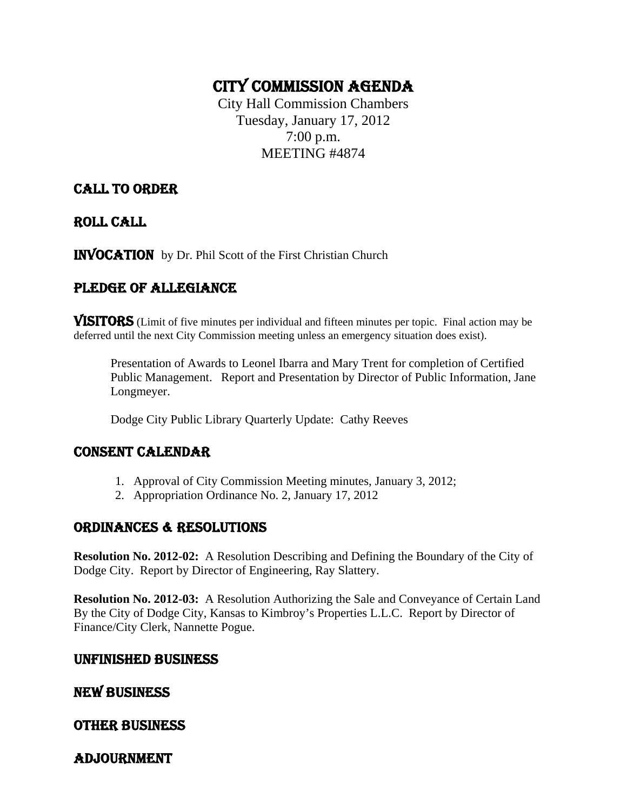# CITY COMMISSION AGENDA

City Hall Commission Chambers Tuesday, January 17, 2012 7:00 p.m. MEETING #4874

# CALL TO ORDER

ROLL CALL

INVOCATION by Dr. Phil Scott of the First Christian Church

# PLEDGE OF ALLEGIANCE

VISITORS (Limit of five minutes per individual and fifteen minutes per topic. Final action may be deferred until the next City Commission meeting unless an emergency situation does exist).

Presentation of Awards to Leonel Ibarra and Mary Trent for completion of Certified Public Management. Report and Presentation by Director of Public Information, Jane Longmeyer.

Dodge City Public Library Quarterly Update: Cathy Reeves

# CONSENT CALENDAR

- 1. Approval of City Commission Meeting minutes, January 3, 2012;
- 2. Appropriation Ordinance No. 2, January 17, 2012

# ORDINANCES & RESOLUTIONS

**Resolution No. 2012-02:** A Resolution Describing and Defining the Boundary of the City of Dodge City. Report by Director of Engineering, Ray Slattery.

**Resolution No. 2012-03:** A Resolution Authorizing the Sale and Conveyance of Certain Land By the City of Dodge City, Kansas to Kimbroy's Properties L.L.C. Report by Director of Finance/City Clerk, Nannette Pogue.

### UNFINISHED BUSINESS

# NEW BUSINESS

# OTHER BUSINESS

# ADJOURNMENT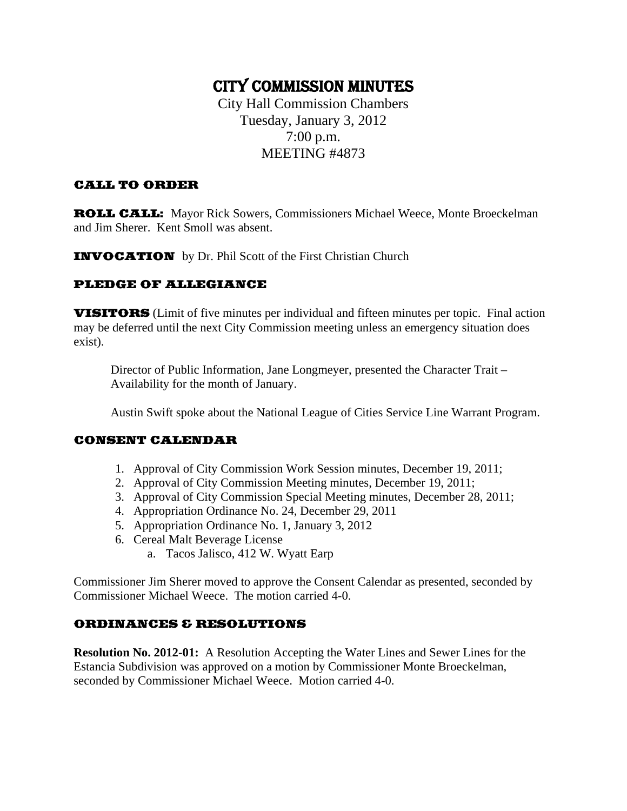# CITY COMMISSION MINUTES

City Hall Commission Chambers Tuesday, January 3, 2012 7:00 p.m. MEETING #4873

#### CALL TO ORDER

ROLL CALL: Mayor Rick Sowers, Commissioners Michael Weece, Monte Broeckelman and Jim Sherer. Kent Smoll was absent.

INVOCATION by Dr. Phil Scott of the First Christian Church

### PLEDGE OF ALLEGIANCE

**VISITORS** (Limit of five minutes per individual and fifteen minutes per topic. Final action may be deferred until the next City Commission meeting unless an emergency situation does exist).

Director of Public Information, Jane Longmeyer, presented the Character Trait – Availability for the month of January.

Austin Swift spoke about the National League of Cities Service Line Warrant Program.

#### CONSENT CALENDAR

- 1. Approval of City Commission Work Session minutes, December 19, 2011;
- 2. Approval of City Commission Meeting minutes, December 19, 2011;
- 3. Approval of City Commission Special Meeting minutes, December 28, 2011;
- 4. Appropriation Ordinance No. 24, December 29, 2011
- 5. Appropriation Ordinance No. 1, January 3, 2012
- 6. Cereal Malt Beverage License
	- a. Tacos Jalisco, 412 W. Wyatt Earp

Commissioner Jim Sherer moved to approve the Consent Calendar as presented, seconded by Commissioner Michael Weece. The motion carried 4-0.

#### ORDINANCES & RESOLUTIONS

**Resolution No. 2012-01:** A Resolution Accepting the Water Lines and Sewer Lines for the Estancia Subdivision was approved on a motion by Commissioner Monte Broeckelman, seconded by Commissioner Michael Weece. Motion carried 4-0.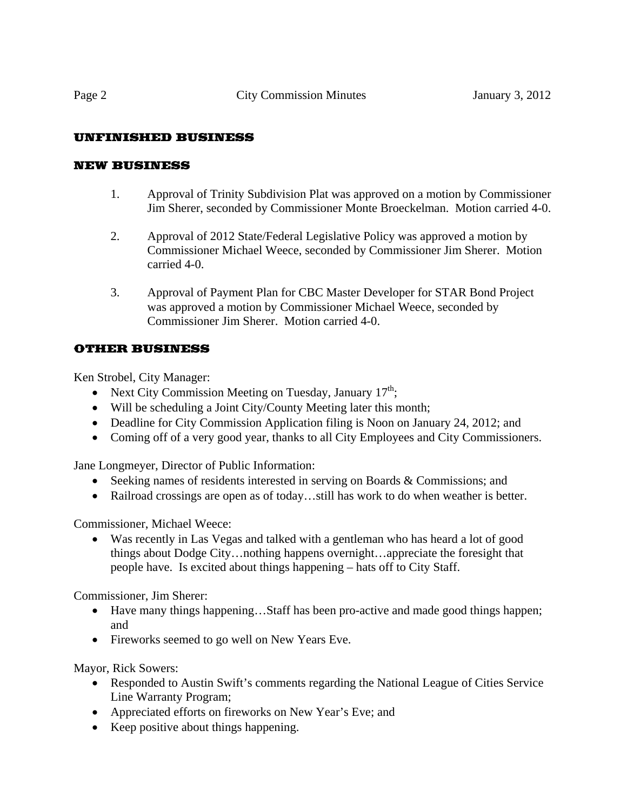# UNFINISHED BUSINESS

### NEW BUSINESS

- 1. Approval of Trinity Subdivision Plat was approved on a motion by Commissioner Jim Sherer, seconded by Commissioner Monte Broeckelman. Motion carried 4-0.
- 2. Approval of 2012 State/Federal Legislative Policy was approved a motion by Commissioner Michael Weece, seconded by Commissioner Jim Sherer. Motion carried 4-0.
- 3. Approval of Payment Plan for CBC Master Developer for STAR Bond Project was approved a motion by Commissioner Michael Weece, seconded by Commissioner Jim Sherer. Motion carried 4-0.

# OTHER BUSINESS

Ken Strobel, City Manager:

- Next City Commission Meeting on Tuesday, January  $17<sup>th</sup>$ ;
- Will be scheduling a Joint City/County Meeting later this month;
- Deadline for City Commission Application filing is Noon on January 24, 2012; and
- Coming off of a very good year, thanks to all City Employees and City Commissioners.

Jane Longmeyer, Director of Public Information:

- Seeking names of residents interested in serving on Boards & Commissions; and
- Railroad crossings are open as of today...still has work to do when weather is better.

Commissioner, Michael Weece:

• Was recently in Las Vegas and talked with a gentleman who has heard a lot of good things about Dodge City…nothing happens overnight…appreciate the foresight that people have. Is excited about things happening – hats off to City Staff.

Commissioner, Jim Sherer:

- Have many things happening…Staff has been pro-active and made good things happen; and
- Fireworks seemed to go well on New Years Eve.

Mayor, Rick Sowers:

- Responded to Austin Swift's comments regarding the National League of Cities Service Line Warranty Program;
- Appreciated efforts on fireworks on New Year's Eve; and
- Keep positive about things happening.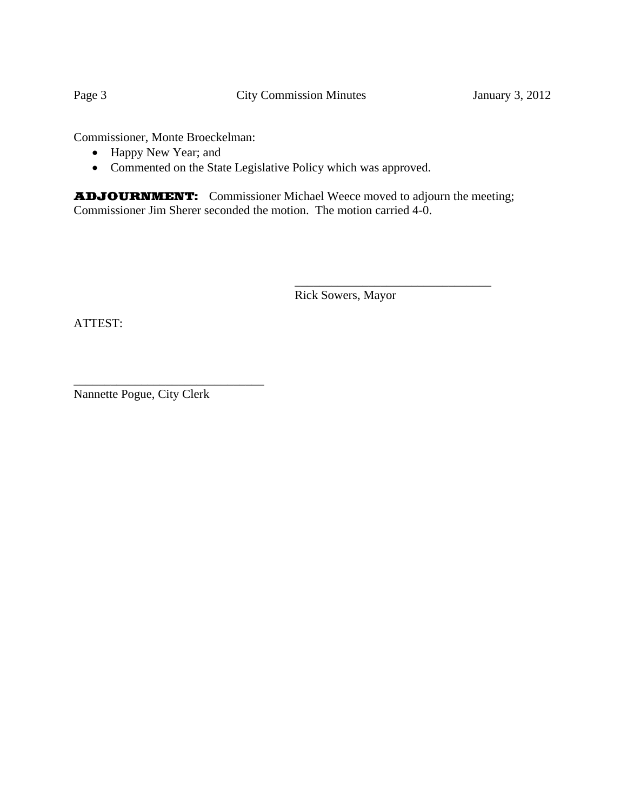Commissioner, Monte Broeckelman:

- Happy New Year; and
- Commented on the State Legislative Policy which was approved.

ADJOURNMENT: Commissioner Michael Weece moved to adjourn the meeting; Commissioner Jim Sherer seconded the motion. The motion carried 4-0.

 $\frac{1}{2}$  , and the contract of the contract of the contract of the contract of the contract of the contract of the contract of the contract of the contract of the contract of the contract of the contract of the contract

Rick Sowers, Mayor

ATTEST:

Nannette Pogue, City Clerk

\_\_\_\_\_\_\_\_\_\_\_\_\_\_\_\_\_\_\_\_\_\_\_\_\_\_\_\_\_\_\_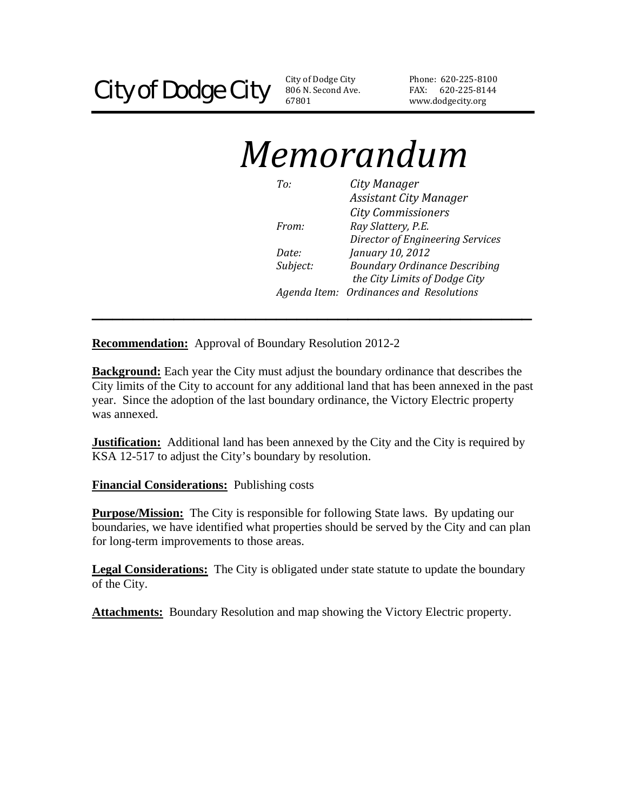806 N. Second Ave. 67801 City of Dodge City

Phone: 620‐225‐81 00 FAX: 620-225-8144 www.dodgecity.org

# *Memorandum*

| To:          | City Manager                            |
|--------------|-----------------------------------------|
|              | <b>Assistant City Manager</b>           |
|              | <b>City Commissioners</b>               |
| <i>From:</i> | Ray Slattery, P.E.                      |
|              | Director of Engineering Services        |
| Date:        | January 10, 2012                        |
| Subject:     | <b>Boundary Ordinance Describing</b>    |
|              | the City Limits of Dodge City           |
|              | Agenda Item: Ordinances and Resolutions |

**Recommendation:** Approval of Boundary Resolution 2012-2

**Background:** Each year the City must adjust the boundary ordinance that describes the City limits of the City to account for any additional land that has been annexed in the past year. Since the adoption of the last boundary ordinance, the Victory Electric property was annexed.

**\_\_\_\_\_\_\_\_\_\_\_\_\_\_\_\_\_\_\_\_\_\_\_\_\_\_\_\_\_\_\_\_\_\_\_\_\_\_\_\_\_\_\_** 

**Justification:** Additional land has been annexed by the City and the City is required by KSA 12-517 to adjust the City's boundary by resolution.

**Financial Considerations:** Publishing costs

**Purpose/Mission:** The City is responsible for following State laws. By updating our boundaries, we have identified what properties should be served by the City and can plan for long-term improvements to those areas.

**Legal Considerations:** The City is obligated under state statute to update the boundary of the City.

**Attachments:** Boundary Resolution and map showing the Victory Electric property.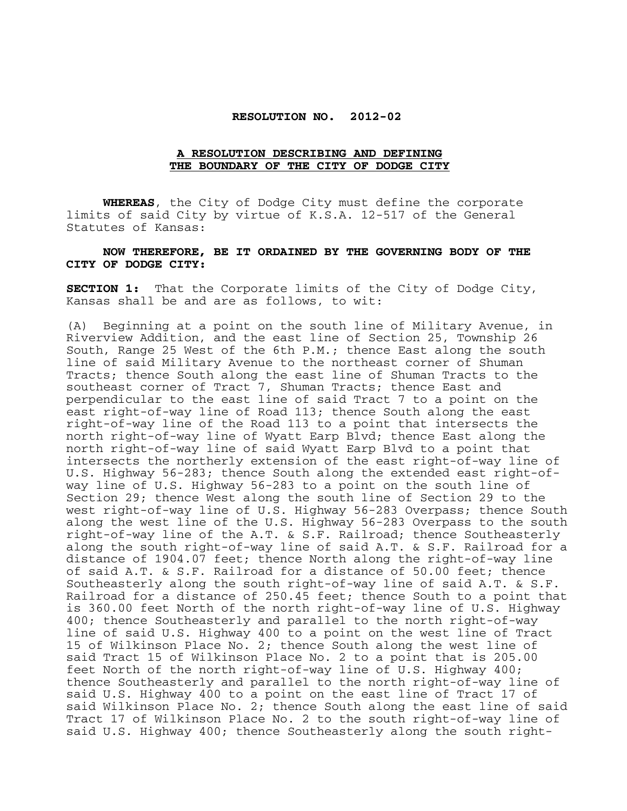#### **RESOLUTION NO. 2012-02**

# **A RESOLUTION DESCRIBING AND DEFINING THE BOUNDARY OF THE CITY OF DODGE CITY**

 **WHEREAS**, the City of Dodge City must define the corporate limits of said City by virtue of K.S.A. 12-517 of the General Statutes of Kansas:

#### **NOW THEREFORE, BE IT ORDAINED BY THE GOVERNING BODY OF THE CITY OF DODGE CITY:**

**SECTION 1:** That the Corporate limits of the City of Dodge City, Kansas shall be and are as follows, to wit:

(A) Beginning at a point on the south line of Military Avenue, in Riverview Addition, and the east line of Section 25, Township 26 South, Range 25 West of the 6th P.M.; thence East along the south line of said Military Avenue to the northeast corner of Shuman Tracts; thence South along the east line of Shuman Tracts to the southeast corner of Tract 7, Shuman Tracts; thence East and perpendicular to the east line of said Tract 7 to a point on the east right-of-way line of Road 113; thence South along the east right-of-way line of the Road 113 to a point that intersects the north right-of-way line of Wyatt Earp Blvd; thence East along the north right-of-way line of said Wyatt Earp Blvd to a point that intersects the northerly extension of the east right-of-way line of U.S. Highway 56-283; thence South along the extended east right-ofway line of U.S. Highway 56-283 to a point on the south line of Section 29; thence West along the south line of Section 29 to the west right-of-way line of U.S. Highway 56-283 Overpass; thence South along the west line of the U.S. Highway 56-283 Overpass to the south right-of-way line of the A.T. & S.F. Railroad; thence Southeasterly along the south right-of-way line of said A.T. & S.F. Railroad for a distance of 1904.07 feet; thence North along the right-of-way line of said A.T. & S.F. Railroad for a distance of 50.00 feet; thence Southeasterly along the south right-of-way line of said A.T. & S.F. Railroad for a distance of 250.45 feet; thence South to a point that is 360.00 feet North of the north right-of-way line of U.S. Highway 400; thence Southeasterly and parallel to the north right-of-way line of said U.S. Highway 400 to a point on the west line of Tract 15 of Wilkinson Place No. 2; thence South along the west line of said Tract 15 of Wilkinson Place No. 2 to a point that is 205.00 feet North of the north right-of-way line of U.S. Highway 400; thence Southeasterly and parallel to the north right-of-way line of said U.S. Highway 400 to a point on the east line of Tract 17 of said Wilkinson Place No. 2; thence South along the east line of said Tract 17 of Wilkinson Place No. 2 to the south right-of-way line of said U.S. Highway 400; thence Southeasterly along the south right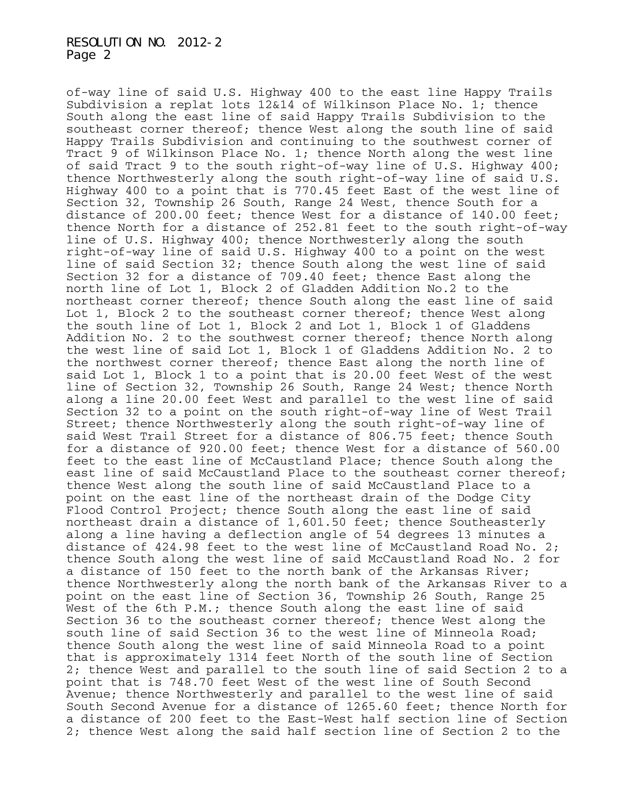of-way line of said U.S. Highway 400 to the east line Happy Trails Subdivision a replat lots 12&14 of Wilkinson Place No. 1; thence South along the east line of said Happy Trails Subdivision to the southeast corner thereof; thence West along the south line of said Happy Trails Subdivision and continuing to the southwest corner of Tract 9 of Wilkinson Place No. 1; thence North along the west line of said Tract 9 to the south right-of-way line of U.S. Highway 400; thence Northwesterly along the south right-of-way line of said U.S. Highway 400 to a point that is 770.45 feet East of the west line of Section 32, Township 26 South, Range 24 West, thence South for a distance of 200.00 feet; thence West for a distance of 140.00 feet; thence North for a distance of 252.81 feet to the south right-of-way line of U.S. Highway 400; thence Northwesterly along the south right-of-way line of said U.S. Highway 400 to a point on the west line of said Section 32; thence South along the west line of said Section 32 for a distance of 709.40 feet; thence East along the north line of Lot 1, Block 2 of Gladden Addition No.2 to the northeast corner thereof; thence South along the east line of said Lot 1, Block 2 to the southeast corner thereof; thence West along the south line of Lot 1, Block 2 and Lot 1, Block 1 of Gladdens Addition No. 2 to the southwest corner thereof; thence North along the west line of said Lot 1, Block 1 of Gladdens Addition No. 2 to the northwest corner thereof; thence East along the north line of said Lot 1, Block 1 to a point that is 20.00 feet West of the west line of Section 32, Township 26 South, Range 24 West; thence North along a line 20.00 feet West and parallel to the west line of said Section 32 to a point on the south right-of-way line of West Trail Street; thence Northwesterly along the south right-of-way line of said West Trail Street for a distance of 806.75 feet; thence South for a distance of 920.00 feet; thence West for a distance of 560.00 feet to the east line of McCaustland Place; thence South along the east line of said McCaustland Place to the southeast corner thereof; thence West along the south line of said McCaustland Place to a point on the east line of the northeast drain of the Dodge City Flood Control Project; thence South along the east line of said northeast drain a distance of 1,601.50 feet; thence Southeasterly along a line having a deflection angle of 54 degrees 13 minutes a distance of 424.98 feet to the west line of McCaustland Road No. 2; thence South along the west line of said McCaustland Road No. 2 for a distance of 150 feet to the north bank of the Arkansas River; thence Northwesterly along the north bank of the Arkansas River to a point on the east line of Section 36, Township 26 South, Range 25 West of the 6th P.M.; thence South along the east line of said Section 36 to the southeast corner thereof; thence West along the south line of said Section 36 to the west line of Minneola Road; thence South along the west line of said Minneola Road to a point that is approximately 1314 feet North of the south line of Section 2; thence West and parallel to the south line of said Section 2 to a point that is 748.70 feet West of the west line of South Second Avenue; thence Northwesterly and parallel to the west line of said South Second Avenue for a distance of 1265.60 feet; thence North for a distance of 200 feet to the East-West half section line of Section 2; thence West along the said half section line of Section 2 to the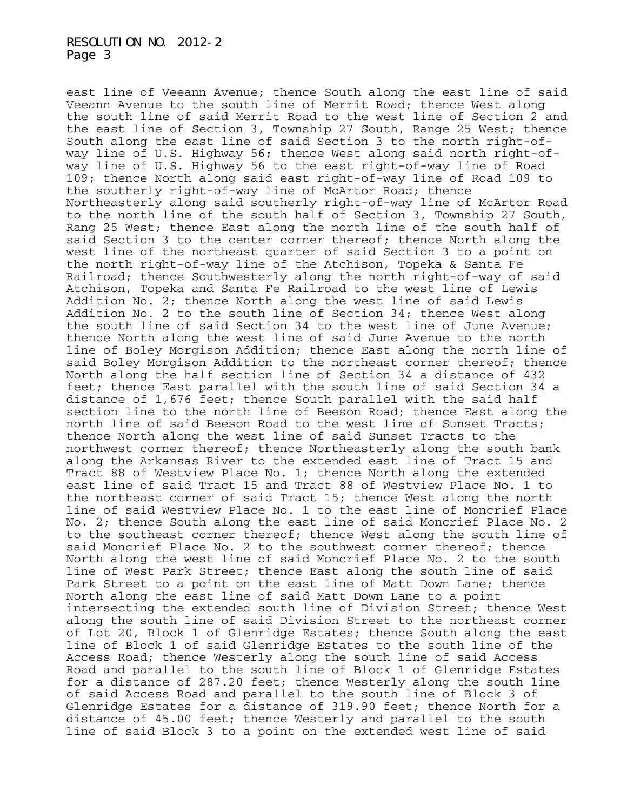east line of Veeann Avenue; thence South along the east line of said Veeann Avenue to the south line of Merrit Road; thence West along the south line of said Merrit Road to the west line of Section 2 and the east line of Section 3, Township 27 South, Range 25 West; thence South along the east line of said Section 3 to the north right-ofway line of U.S. Highway 56; thence West along said north right-ofway line of U.S. Highway 56 to the east right-of-way line of Road 109; thence North along said east right-of-way line of Road 109 to the southerly right-of-way line of McArtor Road; thence Northeasterly along said southerly right-of-way line of McArtor Road to the north line of the south half of Section 3, Township 27 South, Rang 25 West; thence East along the north line of the south half of said Section 3 to the center corner thereof; thence North along the west line of the northeast quarter of said Section 3 to a point on the north right-of-way line of the Atchison, Topeka & Santa Fe Railroad; thence Southwesterly along the north right-of-way of said Atchison, Topeka and Santa Fe Railroad to the west line of Lewis Addition No. 2; thence North along the west line of said Lewis Addition No. 2 to the south line of Section 34; thence West along the south line of said Section 34 to the west line of June Avenue; thence North along the west line of said June Avenue to the north line of Boley Morgison Addition; thence East along the north line of said Boley Morgison Addition to the northeast corner thereof; thence North along the half section line of Section 34 a distance of 432 feet; thence East parallel with the south line of said Section 34 a distance of 1,676 feet; thence South parallel with the said half section line to the north line of Beeson Road; thence East along the north line of said Beeson Road to the west line of Sunset Tracts; thence North along the west line of said Sunset Tracts to the northwest corner thereof; thence Northeasterly along the south bank along the Arkansas River to the extended east line of Tract 15 and Tract 88 of Westview Place No. 1; thence North along the extended east line of said Tract 15 and Tract 88 of Westview Place No. 1 to the northeast corner of said Tract 15; thence West along the north line of said Westview Place No. 1 to the east line of Moncrief Place No. 2; thence South along the east line of said Moncrief Place No. 2 to the southeast corner thereof; thence West along the south line of said Moncrief Place No. 2 to the southwest corner thereof; thence North along the west line of said Moncrief Place No. 2 to the south line of West Park Street; thence East along the south line of said Park Street to a point on the east line of Matt Down Lane; thence North along the east line of said Matt Down Lane to a point intersecting the extended south line of Division Street; thence West along the south line of said Division Street to the northeast corner of Lot 20, Block 1 of Glenridge Estates; thence South along the east line of Block 1 of said Glenridge Estates to the south line of the Access Road; thence Westerly along the south line of said Access Road and parallel to the south line of Block 1 of Glenridge Estates for a distance of 287.20 feet; thence Westerly along the south line of said Access Road and parallel to the south line of Block 3 of Glenridge Estates for a distance of 319.90 feet; thence North for a distance of 45.00 feet; thence Westerly and parallel to the south line of said Block 3 to a point on the extended west line of said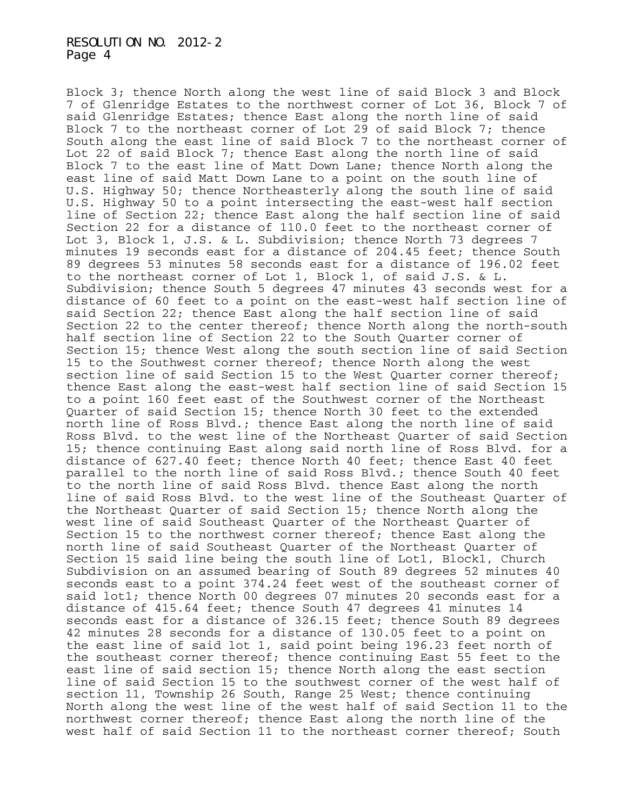Block 3; thence North along the west line of said Block 3 and Block 7 of Glenridge Estates to the northwest corner of Lot 36, Block 7 of said Glenridge Estates; thence East along the north line of said Block 7 to the northeast corner of Lot 29 of said Block 7; thence South along the east line of said Block 7 to the northeast corner of Lot 22 of said Block 7; thence East along the north line of said Block 7 to the east line of Matt Down Lane; thence North along the east line of said Matt Down Lane to a point on the south line of U.S. Highway 50; thence Northeasterly along the south line of said U.S. Highway 50 to a point intersecting the east-west half section line of Section 22; thence East along the half section line of said Section 22 for a distance of 110.0 feet to the northeast corner of Lot 3, Block 1, J.S. & L. Subdivision; thence North 73 degrees 7 minutes 19 seconds east for a distance of 204.45 feet; thence South 89 degrees 53 minutes 58 seconds east for a distance of 196.02 feet to the northeast corner of Lot 1, Block 1, of said J.S. & L. Subdivision; thence South 5 degrees 47 minutes 43 seconds west for a distance of 60 feet to a point on the east-west half section line of said Section 22; thence East along the half section line of said Section 22 to the center thereof; thence North along the north-south half section line of Section 22 to the South Quarter corner of Section 15; thence West along the south section line of said Section 15 to the Southwest corner thereof; thence North along the west section line of said Section 15 to the West Quarter corner thereof; thence East along the east-west half section line of said Section 15 to a point 160 feet east of the Southwest corner of the Northeast Quarter of said Section 15; thence North 30 feet to the extended north line of Ross Blvd.; thence East along the north line of said Ross Blvd. to the west line of the Northeast Quarter of said Section 15; thence continuing East along said north line of Ross Blvd. for a distance of 627.40 feet; thence North 40 feet; thence East 40 feet parallel to the north line of said Ross Blvd.; thence South 40 feet to the north line of said Ross Blvd. thence East along the north line of said Ross Blvd. to the west line of the Southeast Quarter of the Northeast Quarter of said Section 15; thence North along the west line of said Southeast Quarter of the Northeast Quarter of Section 15 to the northwest corner thereof; thence East along the north line of said Southeast Quarter of the Northeast Quarter of Section 15 said line being the south line of Lot1, Block1, Church Subdivision on an assumed bearing of South 89 degrees 52 minutes 40 seconds east to a point 374.24 feet west of the southeast corner of said lot1; thence North 00 degrees 07 minutes 20 seconds east for a distance of 415.64 feet; thence South 47 degrees 41 minutes 14 seconds east for a distance of 326.15 feet; thence South 89 degrees 42 minutes 28 seconds for a distance of 130.05 feet to a point on the east line of said lot 1, said point being 196.23 feet north of the southeast corner thereof; thence continuing East 55 feet to the east line of said section 15; thence North along the east section line of said Section 15 to the southwest corner of the west half of section 11, Township 26 South, Range 25 West; thence continuing North along the west line of the west half of said Section 11 to the northwest corner thereof; thence East along the north line of the west half of said Section 11 to the northeast corner thereof; South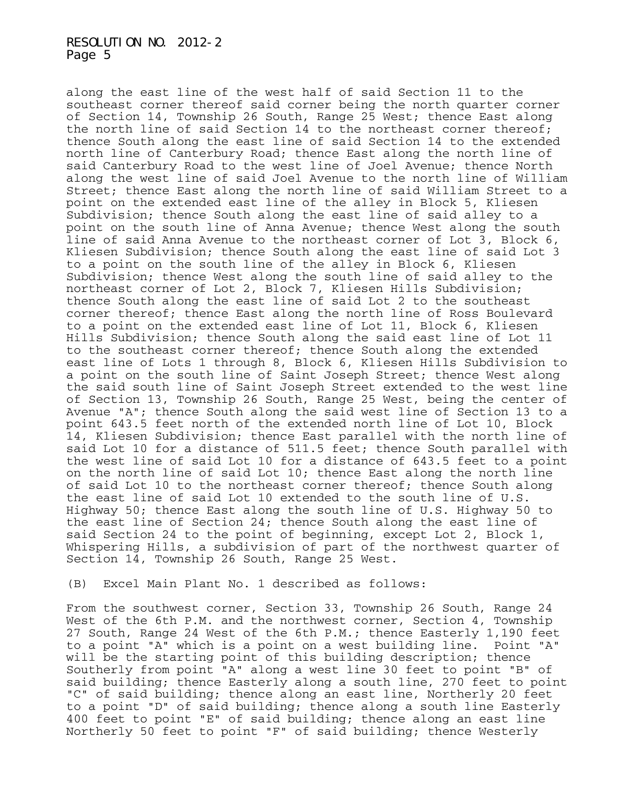along the east line of the west half of said Section 11 to the southeast corner thereof said corner being the north quarter corner of Section 14, Township 26 South, Range 25 West; thence East along the north line of said Section 14 to the northeast corner thereof; thence South along the east line of said Section 14 to the extended north line of Canterbury Road; thence East along the north line of said Canterbury Road to the west line of Joel Avenue; thence North along the west line of said Joel Avenue to the north line of William Street; thence East along the north line of said William Street to a point on the extended east line of the alley in Block 5, Kliesen Subdivision; thence South along the east line of said alley to a point on the south line of Anna Avenue; thence West along the south line of said Anna Avenue to the northeast corner of Lot 3, Block 6, Kliesen Subdivision; thence South along the east line of said Lot 3 to a point on the south line of the alley in Block 6, Kliesen Subdivision; thence West along the south line of said alley to the northeast corner of Lot 2, Block 7, Kliesen Hills Subdivision; thence South along the east line of said Lot 2 to the southeast corner thereof; thence East along the north line of Ross Boulevard to a point on the extended east line of Lot 11, Block 6, Kliesen Hills Subdivision; thence South along the said east line of Lot 11 to the southeast corner thereof; thence South along the extended east line of Lots 1 through 8, Block 6, Kliesen Hills Subdivision to a point on the south line of Saint Joseph Street; thence West along the said south line of Saint Joseph Street extended to the west line of Section 13, Township 26 South, Range 25 West, being the center of Avenue "A"; thence South along the said west line of Section 13 to a point 643.5 feet north of the extended north line of Lot 10, Block 14, Kliesen Subdivision; thence East parallel with the north line of said Lot 10 for a distance of 511.5 feet; thence South parallel with the west line of said Lot 10 for a distance of 643.5 feet to a point on the north line of said Lot 10; thence East along the north line of said Lot 10 to the northeast corner thereof; thence South along the east line of said Lot 10 extended to the south line of U.S. Highway 50; thence East along the south line of U.S. Highway 50 to the east line of Section 24; thence South along the east line of said Section 24 to the point of beginning, except Lot 2, Block 1, Whispering Hills, a subdivision of part of the northwest quarter of Section 14, Township 26 South, Range 25 West.

(B) Excel Main Plant No. 1 described as follows:

From the southwest corner, Section 33, Township 26 South, Range 24 West of the 6th P.M. and the northwest corner, Section 4, Township 27 South, Range 24 West of the 6th P.M.; thence Easterly 1,190 feet to a point "A" which is a point on a west building line. Point "A" will be the starting point of this building description; thence Southerly from point "A" along a west line 30 feet to point "B" of said building; thence Easterly along a south line, 270 feet to point "C" of said building; thence along an east line, Northerly 20 feet to a point "D" of said building; thence along a south line Easterly 400 feet to point "E" of said building; thence along an east line Northerly 50 feet to point "F" of said building; thence Westerly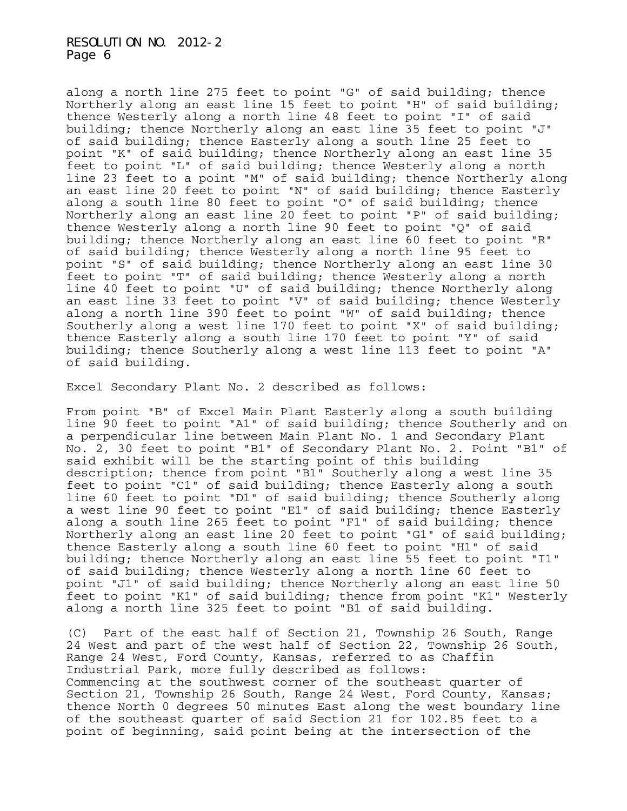along a north line 275 feet to point "G" of said building; thence Northerly along an east line 15 feet to point "H" of said building; thence Westerly along a north line 48 feet to point "I" of said building; thence Northerly along an east line 35 feet to point "J" of said building; thence Easterly along a south line 25 feet to point "K" of said building; thence Northerly along an east line 35 feet to point "L" of said building; thence Westerly along a north line 23 feet to a point "M" of said building; thence Northerly along an east line 20 feet to point "N" of said building; thence Easterly along a south line 80 feet to point "O" of said building; thence Northerly along an east line 20 feet to point "P" of said building; thence Westerly along a north line 90 feet to point "Q" of said building; thence Northerly along an east line 60 feet to point "R" of said building; thence Westerly along a north line 95 feet to point "S" of said building; thence Northerly along an east line 30 feet to point "T" of said building; thence Westerly along a north line 40 feet to point "U" of said building; thence Northerly along an east line 33 feet to point "V" of said building; thence Westerly along a north line 390 feet to point "W" of said building; thence Southerly along a west line 170 feet to point "X" of said building; thence Easterly along a south line 170 feet to point "Y" of said building; thence Southerly along a west line 113 feet to point "A" of said building.

Excel Secondary Plant No. 2 described as follows:

From point "B" of Excel Main Plant Easterly along a south building line 90 feet to point "A1" of said building; thence Southerly and on a perpendicular line between Main Plant No. 1 and Secondary Plant No. 2, 30 feet to point "B1" of Secondary Plant No. 2. Point "B1" of said exhibit will be the starting point of this building description; thence from point "B1" Southerly along a west line 35 feet to point "C1" of said building; thence Easterly along a south line 60 feet to point "D1" of said building; thence Southerly along a west line 90 feet to point "E1" of said building; thence Easterly along a south line 265 feet to point "F1" of said building; thence Northerly along an east line 20 feet to point "G1" of said building; thence Easterly along a south line 60 feet to point "H1" of said building; thence Northerly along an east line 55 feet to point "I1" of said building; thence Westerly along a north line 60 feet to point "J1" of said building; thence Northerly along an east line 50 feet to point "K1" of said building; thence from point "K1" Westerly along a north line 325 feet to point "B1 of said building.

(C) Part of the east half of Section 21, Township 26 South, Range 24 West and part of the west half of Section 22, Township 26 South, Range 24 West, Ford County, Kansas, referred to as Chaffin Industrial Park, more fully described as follows: Commencing at the southwest corner of the southeast quarter of Section 21, Township 26 South, Range 24 West, Ford County, Kansas; thence North 0 degrees 50 minutes East along the west boundary line of the southeast quarter of said Section 21 for 102.85 feet to a point of beginning, said point being at the intersection of the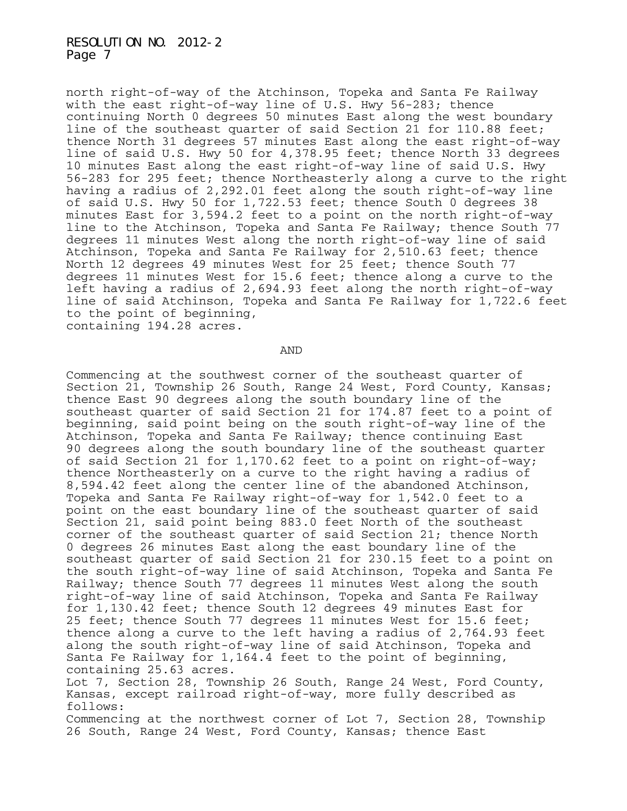north right-of-way of the Atchinson, Topeka and Santa Fe Railway with the east right-of-way line of U.S. Hwy 56-283; thence continuing North 0 degrees 50 minutes East along the west boundary line of the southeast quarter of said Section 21 for 110.88 feet; thence North 31 degrees 57 minutes East along the east right-of-way line of said U.S. Hwy 50 for 4,378.95 feet; thence North 33 degrees 10 minutes East along the east right-of-way line of said U.S. Hwy 56-283 for 295 feet; thence Northeasterly along a curve to the right having a radius of 2,292.01 feet along the south right-of-way line of said U.S. Hwy 50 for 1,722.53 feet; thence South 0 degrees 38 minutes East for 3,594.2 feet to a point on the north right-of-way line to the Atchinson, Topeka and Santa Fe Railway; thence South 77 degrees 11 minutes West along the north right-of-way line of said Atchinson, Topeka and Santa Fe Railway for 2,510.63 feet; thence North 12 degrees 49 minutes West for 25 feet; thence South 77 degrees 11 minutes West for 15.6 feet; thence along a curve to the left having a radius of 2,694.93 feet along the north right-of-way line of said Atchinson, Topeka and Santa Fe Railway for 1,722.6 feet to the point of beginning, containing 194.28 acres.

AND

Commencing at the southwest corner of the southeast quarter of Section 21, Township 26 South, Range 24 West, Ford County, Kansas; thence East 90 degrees along the south boundary line of the southeast quarter of said Section 21 for 174.87 feet to a point of beginning, said point being on the south right-of-way line of the Atchinson, Topeka and Santa Fe Railway; thence continuing East 90 degrees along the south boundary line of the southeast quarter of said Section 21 for 1,170.62 feet to a point on right-of-way; thence Northeasterly on a curve to the right having a radius of 8,594.42 feet along the center line of the abandoned Atchinson, Topeka and Santa Fe Railway right-of-way for 1,542.0 feet to a point on the east boundary line of the southeast quarter of said Section 21, said point being 883.0 feet North of the southeast corner of the southeast quarter of said Section 21; thence North 0 degrees 26 minutes East along the east boundary line of the southeast quarter of said Section 21 for 230.15 feet to a point on the south right-of-way line of said Atchinson, Topeka and Santa Fe Railway; thence South 77 degrees 11 minutes West along the south right-of-way line of said Atchinson, Topeka and Santa Fe Railway for 1,130.42 feet; thence South 12 degrees 49 minutes East for 25 feet; thence South 77 degrees 11 minutes West for 15.6 feet; thence along a curve to the left having a radius of 2,764.93 feet along the south right-of-way line of said Atchinson, Topeka and Santa Fe Railway for 1,164.4 feet to the point of beginning, containing 25.63 acres. Lot 7, Section 28, Township 26 South, Range 24 West, Ford County, Kansas, except railroad right-of-way, more fully described as follows:

Commencing at the northwest corner of Lot 7, Section 28, Township 26 South, Range 24 West, Ford County, Kansas; thence East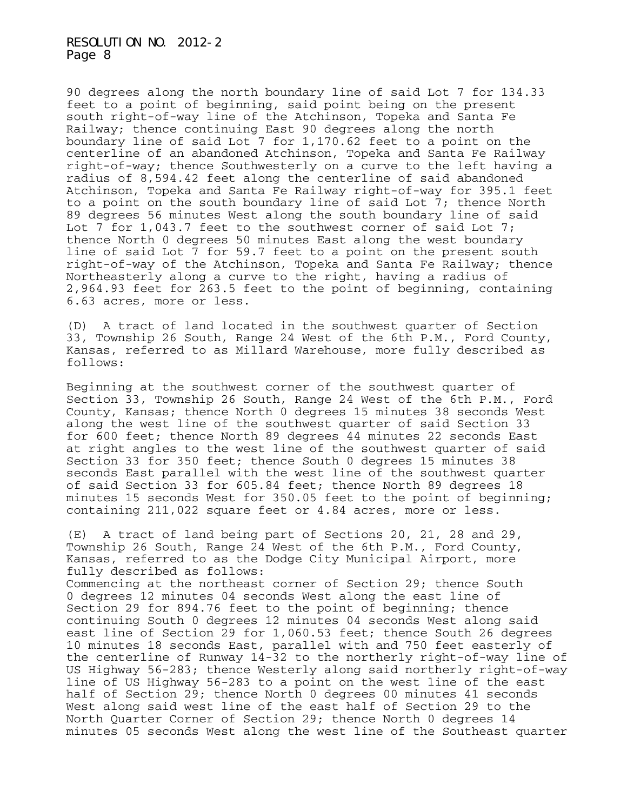90 degrees along the north boundary line of said Lot 7 for 134.33 feet to a point of beginning, said point being on the present south right-of-way line of the Atchinson, Topeka and Santa Fe Railway; thence continuing East 90 degrees along the north boundary line of said Lot 7 for 1,170.62 feet to a point on the centerline of an abandoned Atchinson, Topeka and Santa Fe Railway right-of-way; thence Southwesterly on a curve to the left having a radius of 8,594.42 feet along the centerline of said abandoned Atchinson, Topeka and Santa Fe Railway right-of-way for 395.1 feet to a point on the south boundary line of said Lot 7; thence North 89 degrees 56 minutes West along the south boundary line of said Lot 7 for 1,043.7 feet to the southwest corner of said Lot 7; thence North 0 degrees 50 minutes East along the west boundary line of said Lot 7 for 59.7 feet to a point on the present south right-of-way of the Atchinson, Topeka and Santa Fe Railway; thence Northeasterly along a curve to the right, having a radius of 2,964.93 feet for 263.5 feet to the point of beginning, containing 6.63 acres, more or less.

(D) A tract of land located in the southwest quarter of Section 33, Township 26 South, Range 24 West of the 6th P.M., Ford County, Kansas, referred to as Millard Warehouse, more fully described as follows:

Beginning at the southwest corner of the southwest quarter of Section 33, Township 26 South, Range 24 West of the 6th P.M., Ford County, Kansas; thence North 0 degrees 15 minutes 38 seconds West along the west line of the southwest quarter of said Section 33 for 600 feet; thence North 89 degrees 44 minutes 22 seconds East at right angles to the west line of the southwest quarter of said Section 33 for 350 feet; thence South 0 degrees 15 minutes 38 seconds East parallel with the west line of the southwest quarter of said Section 33 for 605.84 feet; thence North 89 degrees 18 minutes 15 seconds West for 350.05 feet to the point of beginning; containing 211,022 square feet or 4.84 acres, more or less.

(E) A tract of land being part of Sections 20, 21, 28 and 29, Township 26 South, Range 24 West of the 6th P.M., Ford County, Kansas, referred to as the Dodge City Municipal Airport, more fully described as follows:

Commencing at the northeast corner of Section 29; thence South 0 degrees 12 minutes 04 seconds West along the east line of Section 29 for 894.76 feet to the point of beginning; thence continuing South 0 degrees 12 minutes 04 seconds West along said east line of Section 29 for 1,060.53 feet; thence South 26 degrees 10 minutes 18 seconds East, parallel with and 750 feet easterly of the centerline of Runway 14-32 to the northerly right-of-way line of US Highway 56-283; thence Westerly along said northerly right-of-way line of US Highway 56-283 to a point on the west line of the east half of Section 29; thence North 0 degrees 00 minutes 41 seconds West along said west line of the east half of Section 29 to the North Quarter Corner of Section 29; thence North 0 degrees 14 minutes 05 seconds West along the west line of the Southeast quarter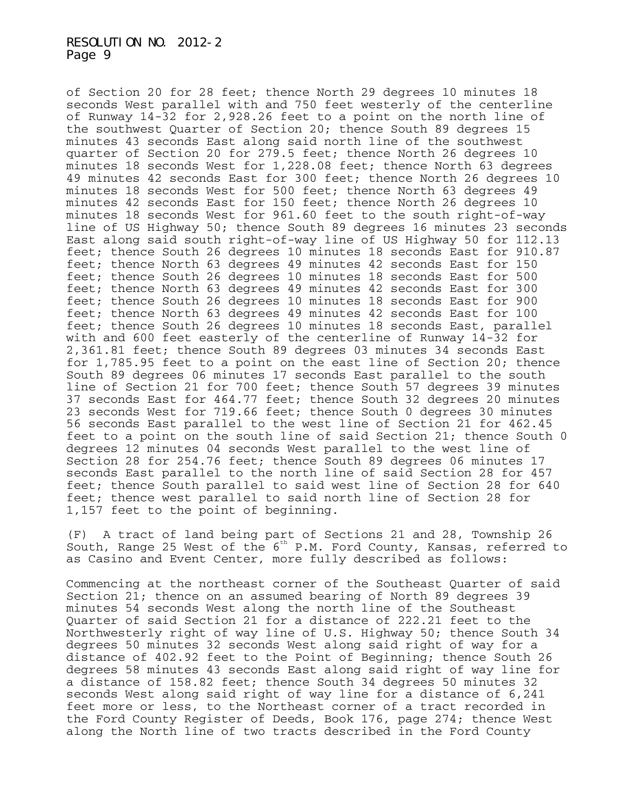of Section 20 for 28 feet; thence North 29 degrees 10 minutes 18 seconds West parallel with and 750 feet westerly of the centerline of Runway 14-32 for 2,928.26 feet to a point on the north line of the southwest Quarter of Section 20; thence South 89 degrees 15 minutes 43 seconds East along said north line of the southwest quarter of Section 20 for 279.5 feet; thence North 26 degrees 10 minutes 18 seconds West for 1,228.08 feet; thence North 63 degrees 49 minutes 42 seconds East for 300 feet; thence North 26 degrees 10 minutes 18 seconds West for 500 feet; thence North 63 degrees 49 minutes 42 seconds East for 150 feet; thence North 26 degrees 10 minutes 18 seconds West for 961.60 feet to the south right-of-way line of US Highway 50; thence South 89 degrees 16 minutes 23 seconds East along said south right-of-way line of US Highway 50 for 112.13 feet; thence South 26 degrees 10 minutes 18 seconds East for 910.87 feet; thence North 63 degrees 49 minutes 42 seconds East for 150 feet; thence South 26 degrees 10 minutes 18 seconds East for 500 feet; thence North 63 degrees 49 minutes 42 seconds East for 300 feet; thence South 26 degrees 10 minutes 18 seconds East for 900 feet; thence North 63 degrees 49 minutes 42 seconds East for 100 feet; thence South 26 degrees 10 minutes 18 seconds East, parallel with and 600 feet easterly of the centerline of Runway 14-32 for 2,361.81 feet; thence South 89 degrees 03 minutes 34 seconds East for 1,785.95 feet to a point on the east line of Section 20; thence South 89 degrees 06 minutes 17 seconds East parallel to the south line of Section 21 for 700 feet; thence South 57 degrees 39 minutes 37 seconds East for 464.77 feet; thence South 32 degrees 20 minutes 23 seconds West for 719.66 feet; thence South 0 degrees 30 minutes 56 seconds East parallel to the west line of Section 21 for 462.45 feet to a point on the south line of said Section 21; thence South 0 degrees 12 minutes 04 seconds West parallel to the west line of Section 28 for 254.76 feet; thence South 89 degrees 06 minutes 17 seconds East parallel to the north line of said Section 28 for 457 feet; thence South parallel to said west line of Section 28 for 640 feet; thence west parallel to said north line of Section 28 for 1,157 feet to the point of beginning.

(F) A tract of land being part of Sections 21 and 28, Township 26 South, Range 25 West of the 6th P.M. Ford County, Kansas, referred to as Casino and Event Center, more fully described as follows:

Commencing at the northeast corner of the Southeast Quarter of said Section 21; thence on an assumed bearing of North 89 degrees 39 minutes 54 seconds West along the north line of the Southeast Quarter of said Section 21 for a distance of 222.21 feet to the Northwesterly right of way line of U.S. Highway 50; thence South 34 degrees 50 minutes 32 seconds West along said right of way for a distance of 402.92 feet to the Point of Beginning; thence South 26 degrees 58 minutes 43 seconds East along said right of way line for a distance of 158.82 feet; thence South 34 degrees 50 minutes 32 seconds West along said right of way line for a distance of 6,241 feet more or less, to the Northeast corner of a tract recorded in the Ford County Register of Deeds, Book 176, page 274; thence West along the North line of two tracts described in the Ford County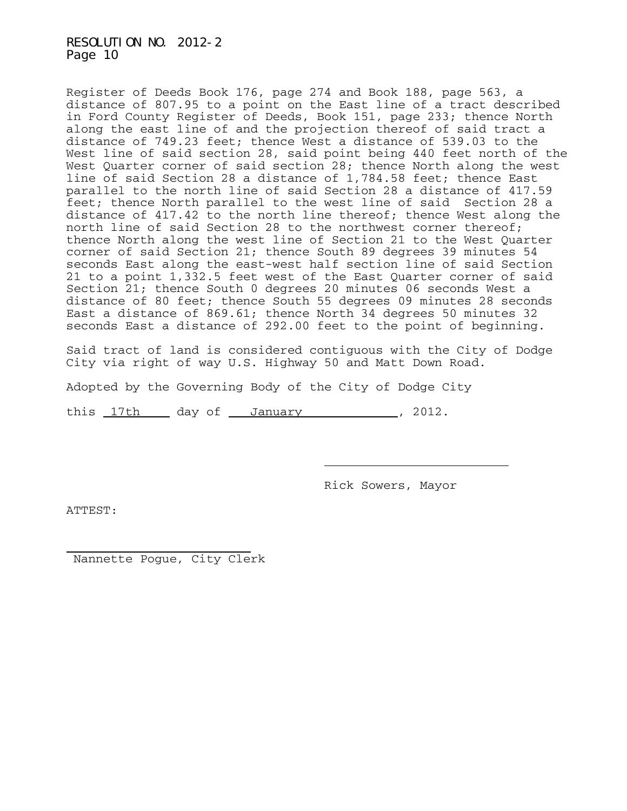Register of Deeds Book 176, page 274 and Book 188, page 563, a distance of 807.95 to a point on the East line of a tract described in Ford County Register of Deeds, Book 151, page 233; thence North along the east line of and the projection thereof of said tract a distance of 749.23 feet; thence West a distance of 539.03 to the West line of said section 28, said point being 440 feet north of the West Quarter corner of said section 28; thence North along the west line of said Section 28 a distance of 1,784.58 feet; thence East parallel to the north line of said Section 28 a distance of 417.59 feet; thence North parallel to the west line of said Section 28 a distance of 417.42 to the north line thereof; thence West along the north line of said Section 28 to the northwest corner thereof; thence North along the west line of Section 21 to the West Quarter corner of said Section 21; thence South 89 degrees 39 minutes 54 seconds East along the east-west half section line of said Section 21 to a point 1,332.5 feet west of the East Quarter corner of said Section 21; thence South 0 degrees 20 minutes 06 seconds West a distance of 80 feet; thence South 55 degrees 09 minutes 28 seconds East a distance of 869.61; thence North 34 degrees 50 minutes 32 seconds East a distance of 292.00 feet to the point of beginning.

Said tract of land is considered contiguous with the City of Dodge City via right of way U.S. Highway 50 and Matt Down Road.

Adopted by the Governing Body of the City of Dodge City

this  $17th$  day of January , 2012.

Rick Sowers, Mayor

ATTEST:

J. Nannette Pogue, City Clerk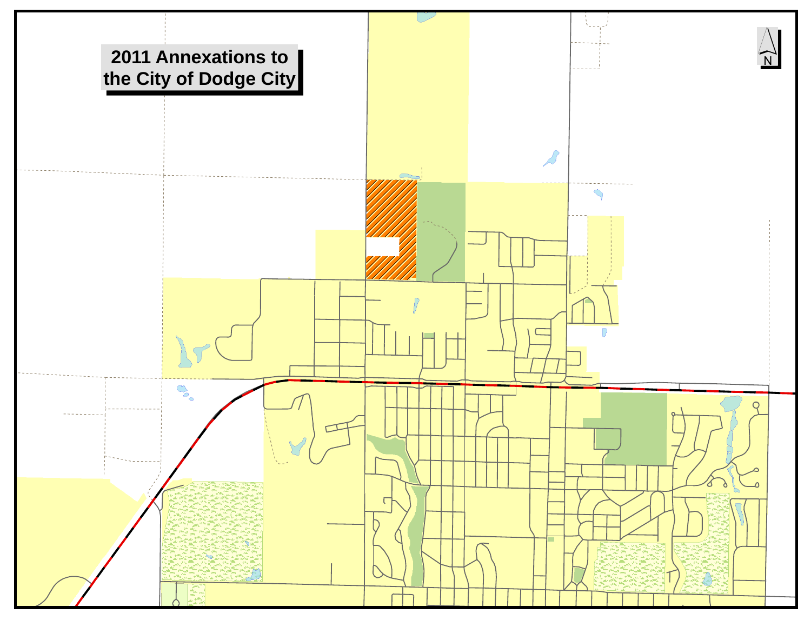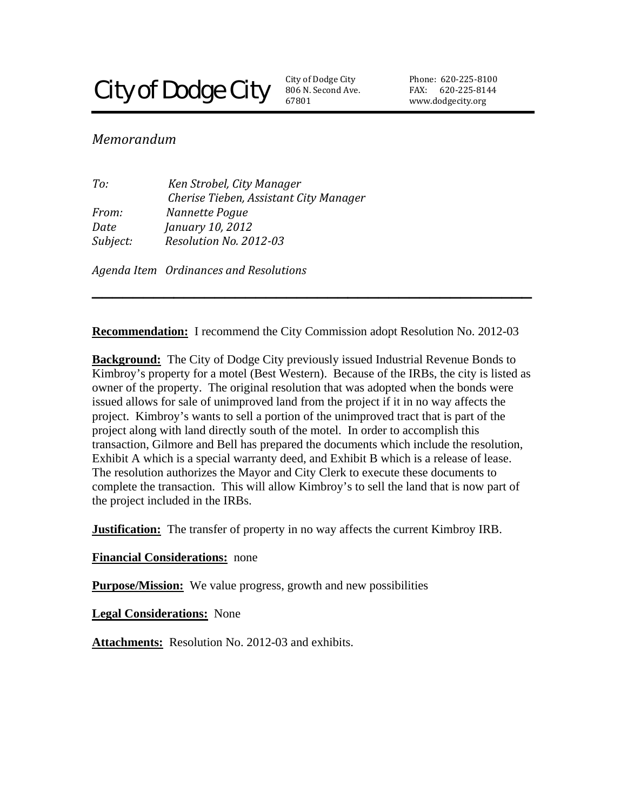# **City of Dodge City**

806 N. Second Ave. 67801 City of Dodge City

Phone: 620‐225‐81 00 FAX: 620-225-8144 www.dodgecity.org

# *Memorandum*

*To: Ken Strobel, City Manager Cherise Tieben, Assistant City Manager From: Nannette Pogue Date January 10, 2012 Subject: Resolution No. 201203*

*Agenda Item Ordinances and Resolutions* 

**Recommendation:** I recommend the City Commission adopt Resolution No. 2012-03

**\_\_\_\_\_\_\_\_\_\_\_\_\_\_\_\_\_\_\_\_\_\_\_\_\_\_\_\_\_\_\_\_\_\_\_\_\_\_\_\_\_\_\_** 

**Background:** The City of Dodge City previously issued Industrial Revenue Bonds to Kimbroy's property for a motel (Best Western). Because of the IRBs, the city is listed as owner of the property. The original resolution that was adopted when the bonds were issued allows for sale of unimproved land from the project if it in no way affects the project. Kimbroy's wants to sell a portion of the unimproved tract that is part of the project along with land directly south of the motel. In order to accomplish this transaction, Gilmore and Bell has prepared the documents which include the resolution, Exhibit A which is a special warranty deed, and Exhibit B which is a release of lease. The resolution authorizes the Mayor and City Clerk to execute these documents to complete the transaction. This will allow Kimbroy's to sell the land that is now part of the project included in the IRBs.

**Justification:** The transfer of property in no way affects the current Kimbroy IRB.

**Financial Considerations:** none

**Purpose/Mission:** We value progress, growth and new possibilities

**Legal Considerations:** None

**Attachments:** Resolution No. 2012-03 and exhibits.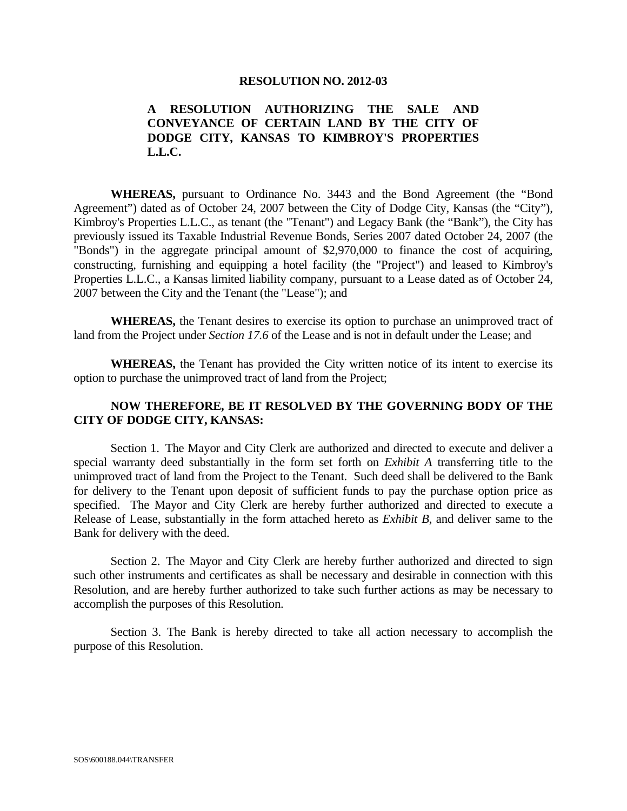#### **RESOLUTION NO. 2012-03**

#### **A RESOLUTION AUTHORIZING THE SALE AND CONVEYANCE OF CERTAIN LAND BY THE CITY OF DODGE CITY, KANSAS TO KIMBROY'S PROPERTIES L.L.C.**

 **WHEREAS,** pursuant to Ordinance No. 3443 and the Bond Agreement (the "Bond Agreement") dated as of October 24, 2007 between the City of Dodge City, Kansas (the "City"), Kimbroy's Properties L.L.C., as tenant (the "Tenant") and Legacy Bank (the "Bank"), the City has previously issued its Taxable Industrial Revenue Bonds, Series 2007 dated October 24, 2007 (the "Bonds") in the aggregate principal amount of \$2,970,000 to finance the cost of acquiring, constructing, furnishing and equipping a hotel facility (the "Project") and leased to Kimbroy's Properties L.L.C., a Kansas limited liability company, pursuant to a Lease dated as of October 24, 2007 between the City and the Tenant (the "Lease"); and

 **WHEREAS,** the Tenant desires to exercise its option to purchase an unimproved tract of land from the Project under *Section 17.6* of the Lease and is not in default under the Lease; and

**WHEREAS,** the Tenant has provided the City written notice of its intent to exercise its option to purchase the unimproved tract of land from the Project;

#### **NOW THEREFORE, BE IT RESOLVED BY THE GOVERNING BODY OF THE CITY OF DODGE CITY, KANSAS:**

 Section 1. The Mayor and City Clerk are authorized and directed to execute and deliver a special warranty deed substantially in the form set forth on *Exhibit A* transferring title to the unimproved tract of land from the Project to the Tenant. Such deed shall be delivered to the Bank for delivery to the Tenant upon deposit of sufficient funds to pay the purchase option price as specified. The Mayor and City Clerk are hereby further authorized and directed to execute a Release of Lease, substantially in the form attached hereto as *Exhibit B*, and deliver same to the Bank for delivery with the deed.

 Section 2. The Mayor and City Clerk are hereby further authorized and directed to sign such other instruments and certificates as shall be necessary and desirable in connection with this Resolution, and are hereby further authorized to take such further actions as may be necessary to accomplish the purposes of this Resolution.

 Section 3. The Bank is hereby directed to take all action necessary to accomplish the purpose of this Resolution.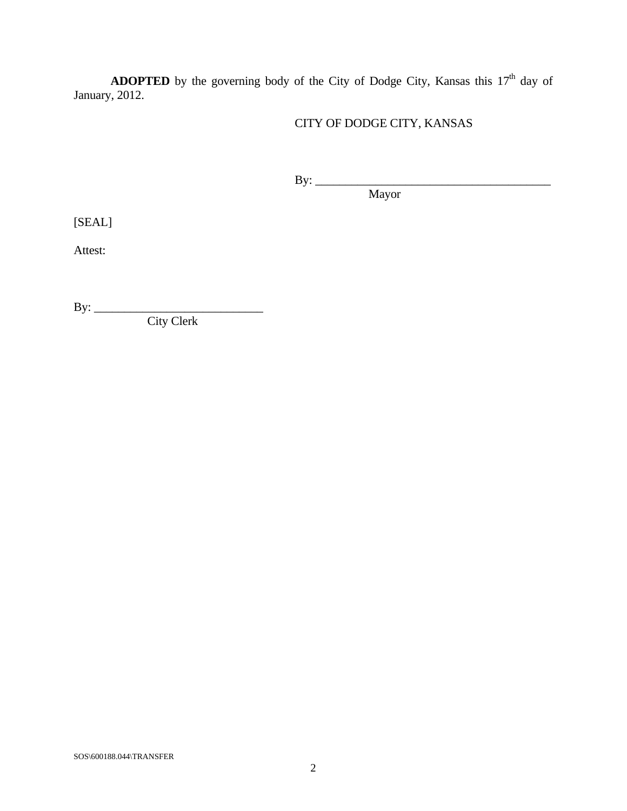**ADOPTED** by the governing body of the City of Dodge City, Kansas this 17<sup>th</sup> day of January, 2012.

# CITY OF DODGE CITY, KANSAS

 By: \_\_\_\_\_\_\_\_\_\_\_\_\_\_\_\_\_\_\_\_\_\_\_\_\_\_\_\_\_\_\_\_\_\_\_\_\_\_\_ Mayor

[SEAL]

Attest:

By: \_\_\_\_\_\_\_\_\_\_\_\_\_\_\_\_\_\_\_\_\_\_\_\_\_\_\_\_

City Clerk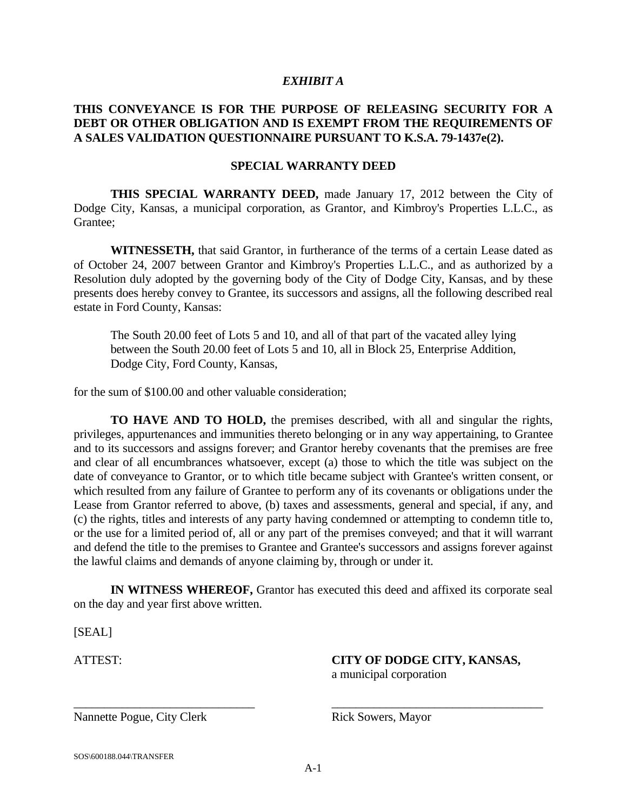#### *EXHIBIT A*

#### **THIS CONVEYANCE IS FOR THE PURPOSE OF RELEASING SECURITY FOR A DEBT OR OTHER OBLIGATION AND IS EXEMPT FROM THE REQUIREMENTS OF A SALES VALIDATION QUESTIONNAIRE PURSUANT TO K.S.A. 79-1437e(2).**

#### **SPECIAL WARRANTY DEED**

 **THIS SPECIAL WARRANTY DEED,** made January 17, 2012 between the City of Dodge City, Kansas, a municipal corporation, as Grantor, and Kimbroy's Properties L.L.C., as Grantee;

 **WITNESSETH,** that said Grantor, in furtherance of the terms of a certain Lease dated as of October 24, 2007 between Grantor and Kimbroy's Properties L.L.C., and as authorized by a Resolution duly adopted by the governing body of the City of Dodge City, Kansas, and by these presents does hereby convey to Grantee, its successors and assigns, all the following described real estate in Ford County, Kansas:

The South 20.00 feet of Lots 5 and 10, and all of that part of the vacated alley lying between the South 20.00 feet of Lots 5 and 10, all in Block 25, Enterprise Addition, Dodge City, Ford County, Kansas,

for the sum of \$100.00 and other valuable consideration;

 **TO HAVE AND TO HOLD,** the premises described, with all and singular the rights, privileges, appurtenances and immunities thereto belonging or in any way appertaining, to Grantee and to its successors and assigns forever; and Grantor hereby covenants that the premises are free and clear of all encumbrances whatsoever, except (a) those to which the title was subject on the date of conveyance to Grantor, or to which title became subject with Grantee's written consent, or which resulted from any failure of Grantee to perform any of its covenants or obligations under the Lease from Grantor referred to above, (b) taxes and assessments, general and special, if any, and (c) the rights, titles and interests of any party having condemned or attempting to condemn title to, or the use for a limited period of, all or any part of the premises conveyed; and that it will warrant and defend the title to the premises to Grantee and Grantee's successors and assigns forever against the lawful claims and demands of anyone claiming by, through or under it.

 **IN WITNESS WHEREOF,** Grantor has executed this deed and affixed its corporate seal on the day and year first above written.

[SEAL]

ATTEST: **CITY OF DODGE CITY, KANSAS,**

a municipal corporation

Nannette Pogue, City Clerk Rick Sowers, Mayor

\_\_\_\_\_\_\_\_\_\_\_\_\_\_\_\_\_\_\_\_\_\_\_\_\_\_\_\_\_\_ \_\_\_\_\_\_\_\_\_\_\_\_\_\_\_\_\_\_\_\_\_\_\_\_\_\_\_\_\_\_\_\_\_\_\_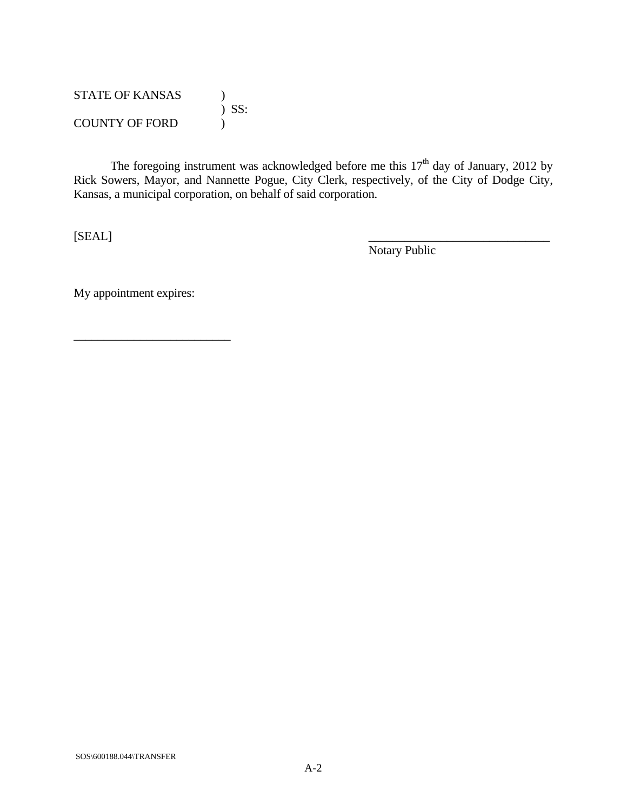| <b>STATE OF KANSAS</b> |         |
|------------------------|---------|
|                        | $)$ SS: |
| <b>COUNTY OF FORD</b>  |         |

The foregoing instrument was acknowledged before me this  $17<sup>th</sup>$  day of January, 2012 by Rick Sowers, Mayor, and Nannette Pogue, City Clerk, respectively, of the City of Dodge City, Kansas, a municipal corporation, on behalf of said corporation.

 $[SEARCH]$ 

Notary Public

My appointment expires:

 $\frac{1}{2}$  ,  $\frac{1}{2}$  ,  $\frac{1}{2}$  ,  $\frac{1}{2}$  ,  $\frac{1}{2}$  ,  $\frac{1}{2}$  ,  $\frac{1}{2}$  ,  $\frac{1}{2}$  ,  $\frac{1}{2}$  ,  $\frac{1}{2}$  ,  $\frac{1}{2}$  ,  $\frac{1}{2}$  ,  $\frac{1}{2}$  ,  $\frac{1}{2}$  ,  $\frac{1}{2}$  ,  $\frac{1}{2}$  ,  $\frac{1}{2}$  ,  $\frac{1}{2}$  ,  $\frac{1$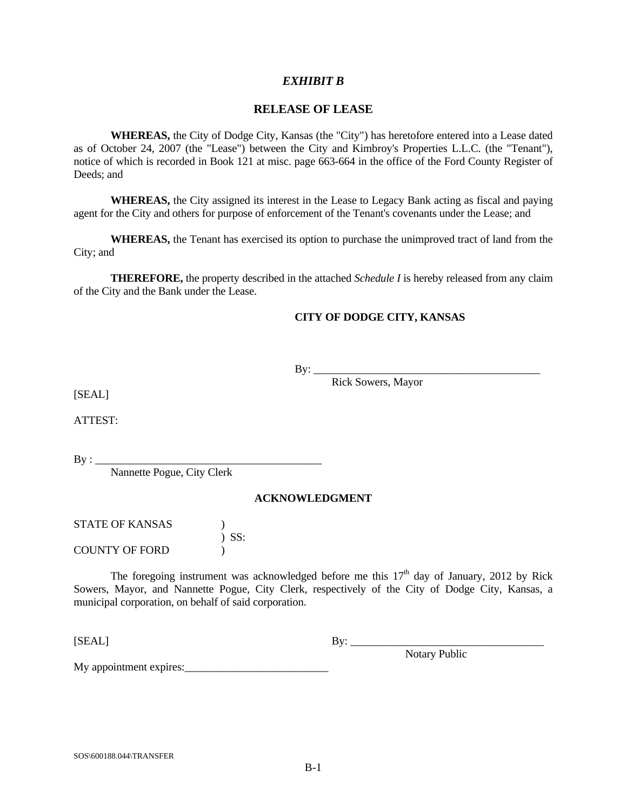#### *EXHIBIT B*

#### **RELEASE OF LEASE**

**WHEREAS,** the City of Dodge City, Kansas (the "City") has heretofore entered into a Lease dated as of October 24, 2007 (the "Lease") between the City and Kimbroy's Properties L.L.C. (the "Tenant"), notice of which is recorded in Book 121 at misc. page 663-664 in the office of the Ford County Register of Deeds; and

**WHEREAS,** the City assigned its interest in the Lease to Legacy Bank acting as fiscal and paying agent for the City and others for purpose of enforcement of the Tenant's covenants under the Lease; and

**WHEREAS,** the Tenant has exercised its option to purchase the unimproved tract of land from the City; and

**THEREFORE,** the property described in the attached *Schedule I* is hereby released from any claim of the City and the Bank under the Lease.

#### **CITY OF DODGE CITY, KANSAS**

 $\text{By:}\_$ 

Rick Sowers, Mayor

[SEAL]

ATTEST:

 $By: \_\_$ 

Nannette Pogue, City Clerk

#### **ACKNOWLEDGMENT**

STATE OF KANSAS (1) ) SS: COUNTY OF FORD )

The foregoing instrument was acknowledged before me this  $17<sup>th</sup>$  day of January, 2012 by Rick Sowers, Mayor, and Nannette Pogue, City Clerk, respectively of the City of Dodge City, Kansas, a municipal corporation, on behalf of said corporation.

[SEAL] By: \_\_\_\_\_\_\_\_\_\_\_\_\_\_\_\_\_\_\_\_\_\_\_\_\_\_\_\_\_\_\_\_\_\_\_

Notary Public

My appointment expires: